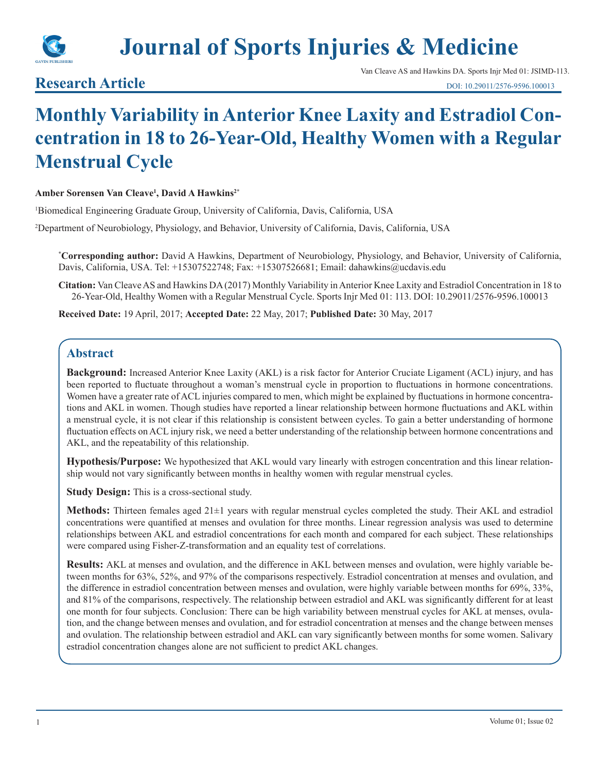

# **Journal of Sports Injuries & Medicine**

**Research Article**

Van Cleave AS and Hawkins DA. Sports Injr Med 01: JSIMD-113.

## **Monthly Variability in Anterior Knee Laxity and Estradiol Concentration in 18 to 26-Year-Old, Healthy Women with a Regular Menstrual Cycle**

#### **Amber Sorensen Van Cleave1 , David A Hawkins2\***

1 Biomedical Engineering Graduate Group, University of California, Davis, California, USA

2 Department of Neurobiology, Physiology, and Behavior, University of California, Davis, California, USA

**\* Corresponding author:** David A Hawkins, Department of Neurobiology, Physiology, and Behavior, University of California, Davis, California, USA. Tel: +15307522748; Fax: +15307526681; Email: dahawkins@ucdavis.edu

**Citation:** Van Cleave AS and Hawkins DA (2017) Monthly Variability in Anterior Knee Laxity and Estradiol Concentration in 18 to 26-Year-Old, Healthy Women with a Regular Menstrual Cycle. Sports Injr Med 01: 113. DOI: 10.29011/2576-9596.100013

**Received Date:** 19 April, 2017; **Accepted Date:** 22 May, 2017; **Published Date:** 30 May, 2017

#### **Abstract**

**Background:** Increased Anterior Knee Laxity (AKL) is a risk factor for Anterior Cruciate Ligament (ACL) injury, and has been reported to fluctuate throughout a woman's menstrual cycle in proportion to fluctuations in hormone concentrations. Women have a greater rate of ACL injuries compared to men, which might be explained by fluctuations in hormone concentrations and AKL in women. Though studies have reported a linear relationship between hormone fluctuations and AKL within a menstrual cycle, it is not clear if this relationship is consistent between cycles. To gain a better understanding of hormone fluctuation effects on ACL injury risk, we need a better understanding of the relationship between hormone concentrations and AKL, and the repeatability of this relationship.

**Hypothesis/Purpose:** We hypothesized that AKL would vary linearly with estrogen concentration and this linear relationship would not vary significantly between months in healthy women with regular menstrual cycles.

**Study Design:** This is a cross-sectional study.

**Methods:** Thirteen females aged 21±1 years with regular menstrual cycles completed the study. Their AKL and estradiol concentrations were quantified at menses and ovulation for three months. Linear regression analysis was used to determine relationships between AKL and estradiol concentrations for each month and compared for each subject. These relationships were compared using Fisher-Z-transformation and an equality test of correlations.

**Results:** AKL at menses and ovulation, and the difference in AKL between menses and ovulation, were highly variable between months for 63%, 52%, and 97% of the comparisons respectively. Estradiol concentration at menses and ovulation, and the difference in estradiol concentration between menses and ovulation, were highly variable between months for 69%, 33%, and 81% of the comparisons, respectively. The relationship between estradiol and AKL was significantly different for at least one month for four subjects. Conclusion: There can be high variability between menstrual cycles for AKL at menses, ovulation, and the change between menses and ovulation, and for estradiol concentration at menses and the change between menses and ovulation. The relationship between estradiol and AKL can vary significantly between months for some women. Salivary estradiol concentration changes alone are not sufficient to predict AKL changes.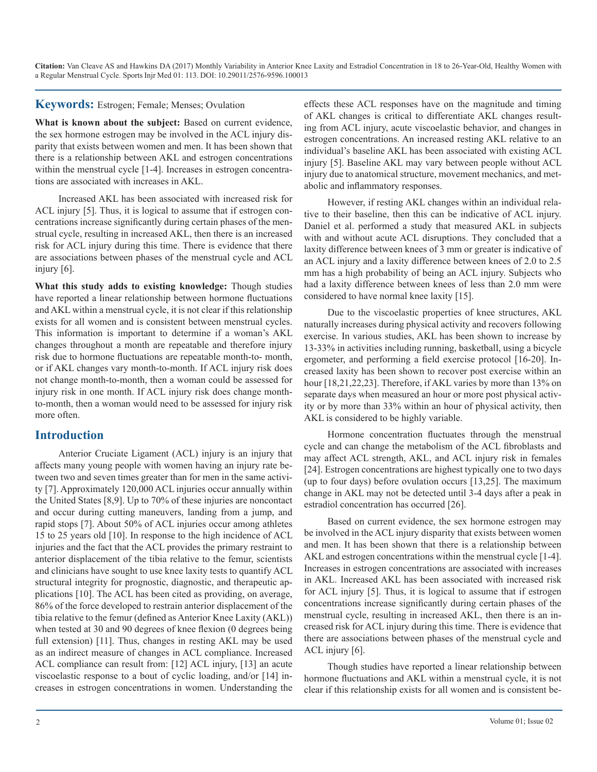#### **Keywords:** Estrogen; Female; Menses; Ovulation

What is known about the subject: Based on current evidence, the sex hormone estrogen may be involved in the ACL injury disparity that exists between women and men. It has been shown that there is a relationship between AKL and estrogen concentrations within the menstrual cycle [1-4]. Increases in estrogen concentrations are associated with increases in AKL.

Increased AKL has been associated with increased risk for ACL injury [5]. Thus, it is logical to assume that if estrogen concentrations increase significantly during certain phases of the menstrual cycle, resulting in increased AKL, then there is an increased risk for ACL injury during this time. There is evidence that there are associations between phases of the menstrual cycle and ACL injury [6].

**What this study adds to existing knowledge:** Though studies have reported a linear relationship between hormone fluctuations and AKL within a menstrual cycle, it is not clear if this relationship exists for all women and is consistent between menstrual cycles. This information is important to determine if a woman's AKL changes throughout a month are repeatable and therefore injury risk due to hormone fluctuations are repeatable month-to- month, or if AKL changes vary month-to-month. If ACL injury risk does not change month-to-month, then a woman could be assessed for injury risk in one month. If ACL injury risk does change monthto-month, then a woman would need to be assessed for injury risk more often.

#### **Introduction**

Anterior Cruciate Ligament (ACL) injury is an injury that affects many young people with women having an injury rate between two and seven times greater than for men in the same activity [7]. Approximately 120,000 ACL injuries occur annually within the United States [8,9]. Up to 70% of these injuries are noncontact and occur during cutting maneuvers, landing from a jump, and rapid stops [7]. About 50% of ACL injuries occur among athletes 15 to 25 years old [10]. In response to the high incidence of ACL injuries and the fact that the ACL provides the primary restraint to anterior displacement of the tibia relative to the femur, scientists and clinicians have sought to use knee laxity tests to quantify ACL structural integrity for prognostic, diagnostic, and therapeutic applications [10]. The ACL has been cited as providing, on average, 86% of the force developed to restrain anterior displacement of the tibia relative to the femur (defined as Anterior Knee Laxity (AKL)) when tested at 30 and 90 degrees of knee flexion (0 degrees being full extension) [11]. Thus, changes in resting AKL may be used as an indirect measure of changes in ACL compliance. Increased ACL compliance can result from: [12] ACL injury, [13] an acute viscoelastic response to a bout of cyclic loading, and/or [14] increases in estrogen concentrations in women. Understanding the

effects these ACL responses have on the magnitude and timing of AKL changes is critical to differentiate AKL changes resulting from ACL injury, acute viscoelastic behavior, and changes in estrogen concentrations. An increased resting AKL relative to an individual's baseline AKL has been associated with existing ACL injury [5]. Baseline AKL may vary between people without ACL injury due to anatomical structure, movement mechanics, and metabolic and inflammatory responses.

However, if resting AKL changes within an individual relative to their baseline, then this can be indicative of ACL injury. Daniel et al. performed a study that measured AKL in subjects with and without acute ACL disruptions. They concluded that a laxity difference between knees of 3 mm or greater is indicative of an ACL injury and a laxity difference between knees of 2.0 to 2.5 mm has a high probability of being an ACL injury. Subjects who had a laxity difference between knees of less than 2.0 mm were considered to have normal knee laxity [15].

Due to the viscoelastic properties of knee structures, AKL naturally increases during physical activity and recovers following exercise. In various studies, AKL has been shown to increase by 13-33% in activities including running, basketball, using a bicycle ergometer, and performing a field exercise protocol [16-20]. Increased laxity has been shown to recover post exercise within an hour [18,21,22,23]. Therefore, if AKL varies by more than 13% on separate days when measured an hour or more post physical activity or by more than 33% within an hour of physical activity, then AKL is considered to be highly variable.

Hormone concentration fluctuates through the menstrual cycle and can change the metabolism of the ACL fibroblasts and may affect ACL strength, AKL, and ACL injury risk in females [24]. Estrogen concentrations are highest typically one to two days (up to four days) before ovulation occurs [13,25]. The maximum change in AKL may not be detected until 3-4 days after a peak in estradiol concentration has occurred [26].

Based on current evidence, the sex hormone estrogen may be involved in the ACL injury disparity that exists between women and men. It has been shown that there is a relationship between AKL and estrogen concentrations within the menstrual cycle [1-4]. Increases in estrogen concentrations are associated with increases in AKL. Increased AKL has been associated with increased risk for ACL injury [5]. Thus, it is logical to assume that if estrogen concentrations increase significantly during certain phases of the menstrual cycle, resulting in increased AKL, then there is an increased risk for ACL injury during this time. There is evidence that there are associations between phases of the menstrual cycle and ACL injury [6].

Though studies have reported a linear relationship between hormone fluctuations and AKL within a menstrual cycle, it is not clear if this relationship exists for all women and is consistent be-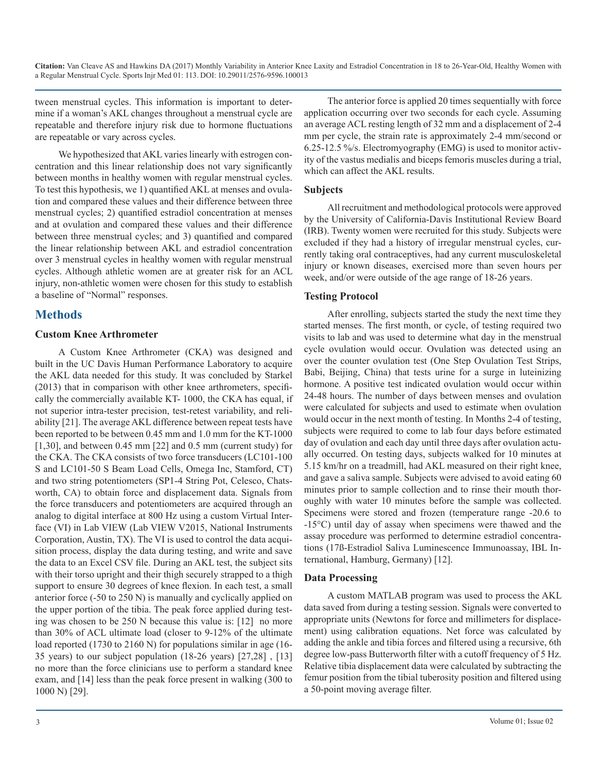tween menstrual cycles. This information is important to determine if a woman's AKL changes throughout a menstrual cycle are repeatable and therefore injury risk due to hormone fluctuations are repeatable or vary across cycles.

We hypothesized that AKL varies linearly with estrogen concentration and this linear relationship does not vary significantly between months in healthy women with regular menstrual cycles. To test this hypothesis, we 1) quantified AKL at menses and ovulation and compared these values and their difference between three menstrual cycles; 2) quantified estradiol concentration at menses and at ovulation and compared these values and their difference between three menstrual cycles; and 3) quantified and compared the linear relationship between AKL and estradiol concentration over 3 menstrual cycles in healthy women with regular menstrual cycles. Although athletic women are at greater risk for an ACL injury, non-athletic women were chosen for this study to establish a baseline of "Normal" responses.

### **Methods**

#### **Custom Knee Arthrometer**

A Custom Knee Arthrometer (CKA) was designed and built in the UC Davis Human Performance Laboratory to acquire the AKL data needed for this study. It was concluded by Starkel (2013) that in comparison with other knee arthrometers, specifically the commercially available KT- 1000, the CKA has equal, if not superior intra-tester precision, test-retest variability, and reliability [21]. The average AKL difference between repeat tests have been reported to be between 0.45 mm and 1.0 mm for the KT-1000 [1,30], and between 0.45 mm [22] and 0.5 mm (current study) for the CKA. The CKA consists of two force transducers (LC101-100 S and LC101-50 S Beam Load Cells, Omega Inc, Stamford, CT) and two string potentiometers (SP1-4 String Pot, Celesco, Chatsworth, CA) to obtain force and displacement data. Signals from the force transducers and potentiometers are acquired through an analog to digital interface at 800 Hz using a custom Virtual Interface (VI) in Lab VIEW (Lab VIEW V2015, National Instruments Corporation, Austin, TX). The VI is used to control the data acquisition process, display the data during testing, and write and save the data to an Excel CSV file. During an AKL test, the subject sits with their torso upright and their thigh securely strapped to a thigh support to ensure 30 degrees of knee flexion. In each test, a small anterior force (-50 to 250 N) is manually and cyclically applied on the upper portion of the tibia. The peak force applied during testing was chosen to be 250 N because this value is: [12] no more than 30% of ACL ultimate load (closer to 9-12% of the ultimate load reported (1730 to 2160 N) for populations similar in age (16- 35 years) to our subject population (18-26 years) [27,28] , [13] no more than the force clinicians use to perform a standard knee exam, and [14] less than the peak force present in walking (300 to 1000 N) [29].

The anterior force is applied 20 times sequentially with force application occurring over two seconds for each cycle. Assuming an average ACL resting length of 32 mm and a displacement of 2-4 mm per cycle, the strain rate is approximately 2-4 mm/second or 6.25-12.5 %/s. Electromyography (EMG) is used to monitor activity of the vastus medialis and biceps femoris muscles during a trial, which can affect the AKL results.

#### **Subjects**

All recruitment and methodological protocols were approved by the University of California-Davis Institutional Review Board (IRB). Twenty women were recruited for this study. Subjects were excluded if they had a history of irregular menstrual cycles, currently taking oral contraceptives, had any current musculoskeletal injury or known diseases, exercised more than seven hours per week, and/or were outside of the age range of 18-26 years.

#### **Testing Protocol**

After enrolling, subjects started the study the next time they started menses. The first month, or cycle, of testing required two visits to lab and was used to determine what day in the menstrual cycle ovulation would occur. Ovulation was detected using an over the counter ovulation test (One Step Ovulation Test Strips, Babi, Beijing, China) that tests urine for a surge in luteinizing hormone. A positive test indicated ovulation would occur within 24-48 hours. The number of days between menses and ovulation were calculated for subjects and used to estimate when ovulation would occur in the next month of testing. In Months 2-4 of testing, subjects were required to come to lab four days before estimated day of ovulation and each day until three days after ovulation actually occurred. On testing days, subjects walked for 10 minutes at 5.15 km/hr on a treadmill, had AKL measured on their right knee, and gave a saliva sample. Subjects were advised to avoid eating 60 minutes prior to sample collection and to rinse their mouth thoroughly with water 10 minutes before the sample was collected. Specimens were stored and frozen (temperature range -20.6 to -15°C) until day of assay when specimens were thawed and the assay procedure was performed to determine estradiol concentrations (17ß-Estradiol Saliva Luminescence Immunoassay, IBL International, Hamburg, Germany) [12].

#### **Data Processing**

A custom MATLAB program was used to process the AKL data saved from during a testing session. Signals were converted to appropriate units (Newtons for force and millimeters for displacement) using calibration equations. Net force was calculated by adding the ankle and tibia forces and filtered using a recursive, 6th degree low-pass Butterworth filter with a cutoff frequency of 5 Hz. Relative tibia displacement data were calculated by subtracting the femur position from the tibial tuberosity position and filtered using a 50-point moving average filter.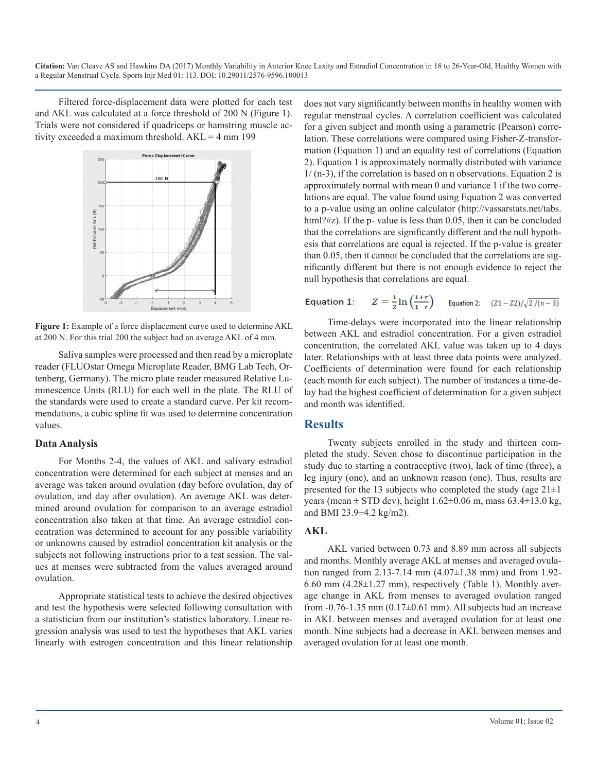Filtered force-displacement data were plotted for each test and AKL was calculated at a force threshold of 200 N (Figure 1). Trials were not considered if quadriceps or hamstring muscle activity exceeded a maximum threshold.  $AKL = 4$  mm 199



**Figure 1:** Example of a force displacement curve used to determine AKL at 200 N. For this trial 200 the subject had an average AKL of 4 mm.

Saliva samples were processed and then read by a microplate reader (FLUOstar Omega Microplate Reader, BMG Lab Tech, Ortenberg, Germany). The micro plate reader measured Relative Luminescence Units (RLU) for each well in the plate. The RLU of the standards were used to create a standard curve. Per kit recommendations, a cubic spline fit was used to determine concentration values.

#### **Data Analysis**

For Months 2-4, the values of AKL and salivary estradiol concentration were determined for each subject at menses and an average was taken around ovulation (day before ovulation, day of ovulation, and day after ovulation). An average AKL was determined around ovulation for comparison to an average estradiol concentration also taken at that time. An average estradiol concentration was determined to account for any possible variability or unknowns caused by estradiol concentration kit analysis or the subjects not following instructions prior to a test session. The values at menses were subtracted from the values averaged around ovulation.

Appropriate statistical tests to achieve the desired objectives and test the hypothesis were selected following consultation with a statistician from our institution's statistics laboratory. Linear regression analysis was used to test the hypotheses that AKL varies linearly with estrogen concentration and this linear relationship

does not vary significantly between months in healthy women with regular menstrual cycles. A correlation coefficient was calculated for a given subject and month using a parametric (Pearson) correlation. These correlations were compared using Fisher-Z-transformation (Equation 1) and an equality test of correlations (Equation 2). Equation 1 is approximately normally distributed with variance 1/ (n-3), if the correlation is based on n observations. Equation 2 is approximately normal with mean 0 and variance 1 if the two correlations are equal. The value found using Equation 2 was converted to a p-value using an online calculator (http://vassarstats.net/tabs. html?#z). If the p- value is less than 0.05, then it can be concluded that the correlations are significantly different and the null hypothesis that correlations are equal is rejected. If the p-value is greater than 0.05, then it cannot be concluded that the correlations are significantly different but there is not enough evidence to reject the null hypothesis that correlations are equal.

#### $Z = \frac{1}{2} \ln \left( \frac{1+r}{1-r} \right)$  Equation 2:  $(Z1 - Z2)/\sqrt{2/(n-3)}$ Equation 1:

Time-delays were incorporated into the linear relationship between AKL and estradiol concentration. For a given estradiol concentration, the correlated AKL value was taken up to 4 days later. Relationships with at least three data points were analyzed. Coefficients of determination were found for each relationship (each month for each subject). The number of instances a time-delay had the highest coefficient of determination for a given subject and month was identified.

#### **Results**

Twenty subjects enrolled in the study and thirteen completed the study. Seven chose to discontinue participation in the study due to starting a contraceptive (two), lack of time (three), a leg injury (one), and an unknown reason (one). Thus, results are presented for the 13 subjects who completed the study (age  $21\pm1$ ) years (mean  $\pm$  STD dev), height 1.62 $\pm$ 0.06 m, mass 63.4 $\pm$ 13.0 kg, and BMI 23.9±4.2 kg/m2).

#### **AKL**

AKL varied between 0.73 and 8.89 mm across all subjects and months. Monthly average AKL at menses and averaged ovulation ranged from 2.13-7.14 mm (4.07±1.38 mm) and from 1.92- 6.60 mm  $(4.28\pm1.27 \text{ mm})$ , respectively (Table 1). Monthly average change in AKL from menses to averaged ovulation ranged from  $-0.76-1.35$  mm  $(0.17\pm0.61$  mm). All subjects had an increase in AKL between menses and averaged ovulation for at least one month. Nine subjects had a decrease in AKL between menses and averaged ovulation for at least one month.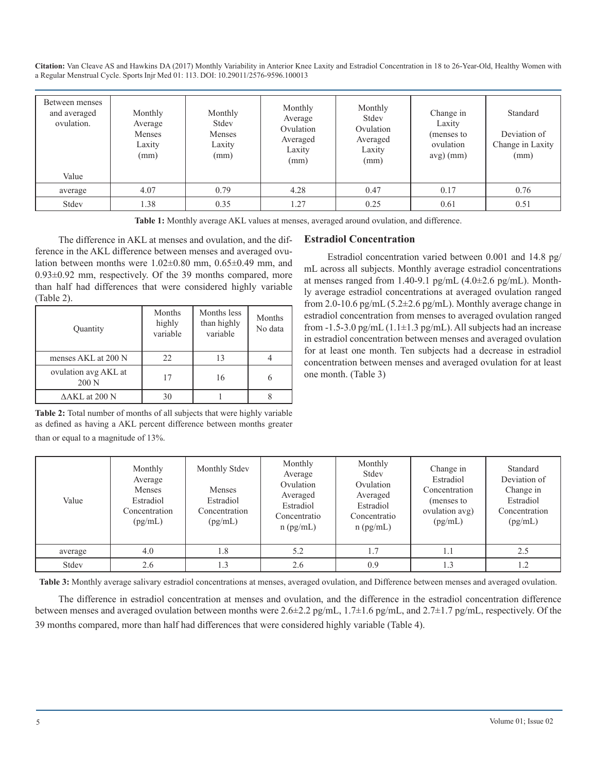| Between menses<br>and averaged<br>ovulation.<br>Value | Monthly<br>Average<br>Menses<br>Laxity<br>(mm) | Monthly<br>Stdev<br>Menses<br>Laxity<br>(mm) | Monthly<br>Average<br>Ovulation<br>Averaged<br>Laxity<br>(mm) | Monthly<br>Stdev<br>Ovulation<br>Averaged<br>Laxity<br>(mm) | Change in<br>Laxity<br>(menses to<br>ovulation<br>$avg)$ (mm) | Standard<br>Deviation of<br>Change in Laxity<br>(mm) |
|-------------------------------------------------------|------------------------------------------------|----------------------------------------------|---------------------------------------------------------------|-------------------------------------------------------------|---------------------------------------------------------------|------------------------------------------------------|
| average                                               | 4.07                                           | 0.79                                         | 4.28                                                          | 0.47                                                        | 0.17                                                          | 0.76                                                 |
| Stdev                                                 | 1.38                                           | 0.35                                         | 1.27                                                          | 0.25                                                        | 0.61                                                          | 0.51                                                 |

**Table 1:** Monthly average AKL values at menses, averaged around ovulation, and difference.

The difference in AKL at menses and ovulation, and the difference in the AKL difference between menses and averaged ovulation between months were 1.02±0.80 mm, 0.65±0.49 mm, and 0.93±0.92 mm, respectively. Of the 39 months compared, more than half had differences that were considered highly variable (Table 2).

| Quantity                      | Months<br>highly<br>variable | Months less<br>than highly<br>variable | Months<br>No data |
|-------------------------------|------------------------------|----------------------------------------|-------------------|
| menses AKL at 200 N           | 22                           | 13                                     |                   |
| ovulation avg AKL at<br>200 N | 17                           | 16                                     |                   |
| $\Delta AKL$ at 200 N         | 30                           |                                        |                   |

**Table 2:** Total number of months of all subjects that were highly variable as defined as having a AKL percent difference between months greater than or equal to a magnitude of 13%.

#### **Estradiol Concentration**

Estradiol concentration varied between 0.001 and 14.8 pg/ mL across all subjects. Monthly average estradiol concentrations at menses ranged from 1.40-9.1 pg/mL  $(4.0\pm2.6 \text{ pg/mL})$ . Monthly average estradiol concentrations at averaged ovulation ranged from 2.0-10.6 pg/mL (5.2±2.6 pg/mL). Monthly average change in estradiol concentration from menses to averaged ovulation ranged from  $-1.5-3.0$  pg/mL (1.1 $\pm$ 1.3 pg/mL). All subjects had an increase in estradiol concentration between menses and averaged ovulation for at least one month. Ten subjects had a decrease in estradiol concentration between menses and averaged ovulation for at least one month. (Table 3)

| Value   | Monthly<br>Average<br>Menses<br>Estradiol<br>Concentration<br>(pg/mL) | Monthly Stdev<br>Menses<br>Estradiol<br>Concentration<br>(pg/mL) | Monthly<br>Average<br>Ovulation<br>Averaged<br>Estradiol<br>Concentratio<br>$n$ (pg/mL) | Monthly<br>Stdev<br>Ovulation<br>Averaged<br>Estradiol<br>Concentratio<br>$n$ (pg/mL) | Change in<br>Estradiol<br>Concentration<br>(menses to<br>ovulation avg)<br>(pg/mL) | Standard<br>Deviation of<br>Change in<br>Estradiol<br>Concentration<br>(pg/mL) |
|---------|-----------------------------------------------------------------------|------------------------------------------------------------------|-----------------------------------------------------------------------------------------|---------------------------------------------------------------------------------------|------------------------------------------------------------------------------------|--------------------------------------------------------------------------------|
| average | 4.0                                                                   | 1.8                                                              | 5.2                                                                                     | 1.7                                                                                   | 1.1                                                                                | 2.5                                                                            |
| Stdev   | 2.6                                                                   | 1.3                                                              | 2.6                                                                                     | 0.9                                                                                   | 1.3                                                                                | 1.2                                                                            |

**Table 3:** Monthly average salivary estradiol concentrations at menses, averaged ovulation, and Difference between menses and averaged ovulation.

The difference in estradiol concentration at menses and ovulation, and the difference in the estradiol concentration difference between menses and averaged ovulation between months were 2.6±2.2 pg/mL, 1.7±1.6 pg/mL, and 2.7±1.7 pg/mL, respectively. Of the 39 months compared, more than half had differences that were considered highly variable (Table 4).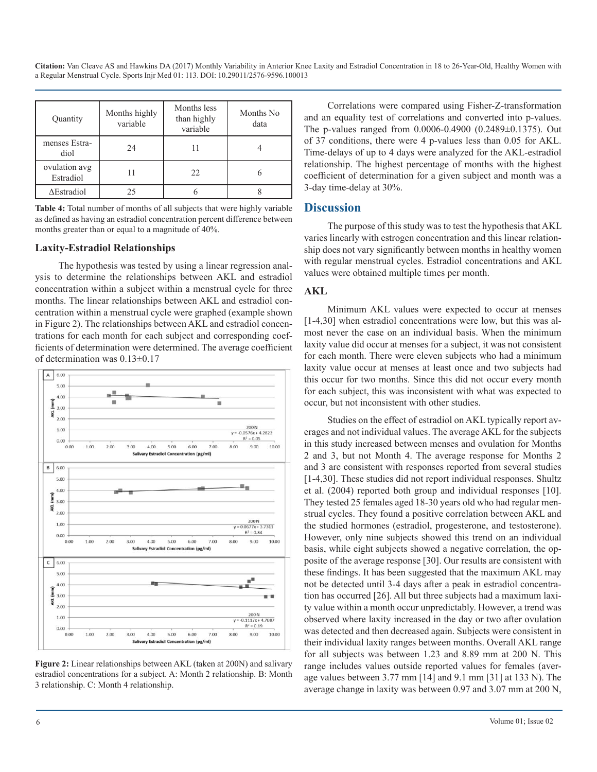| Quantity                   | Months highly<br>variable | Months less<br>than highly<br>variable | Months No<br>data |
|----------------------------|---------------------------|----------------------------------------|-------------------|
| menses Estra-<br>diol      | 24                        |                                        |                   |
| ovulation avg<br>Estradiol |                           | 22                                     |                   |
| $\Delta$ Estradiol         | 25                        |                                        |                   |

**Table 4:** Total number of months of all subjects that were highly variable as defined as having an estradiol concentration percent difference between months greater than or equal to a magnitude of 40%.

#### **Laxity-Estradiol Relationships**

The hypothesis was tested by using a linear regression analysis to determine the relationships between AKL and estradiol concentration within a subject within a menstrual cycle for three months. The linear relationships between AKL and estradiol concentration within a menstrual cycle were graphed (example shown in Figure 2). The relationships between AKL and estradiol concentrations for each month for each subject and corresponding coefficients of determination were determined. The average coefficient of determination was 0.13±0.17



**Figure 2:** Linear relationships between AKL (taken at 200N) and salivary estradiol concentrations for a subject. A: Month 2 relationship. B: Month 3 relationship. C: Month 4 relationship.

Correlations were compared using Fisher-Z-transformation and an equality test of correlations and converted into p-values. The p-values ranged from 0.0006-0.4900 (0.2489±0.1375). Out of 37 conditions, there were 4 p-values less than 0.05 for AKL. Time-delays of up to 4 days were analyzed for the AKL-estradiol relationship. The highest percentage of months with the highest coefficient of determination for a given subject and month was a 3-day time-delay at 30%.

#### **Discussion**

The purpose of this study was to test the hypothesis that AKL varies linearly with estrogen concentration and this linear relationship does not vary significantly between months in healthy women with regular menstrual cycles. Estradiol concentrations and AKL values were obtained multiple times per month.

#### **AKL**

Minimum AKL values were expected to occur at menses [1-4,30] when estradiol concentrations were low, but this was almost never the case on an individual basis. When the minimum laxity value did occur at menses for a subject, it was not consistent for each month. There were eleven subjects who had a minimum laxity value occur at menses at least once and two subjects had this occur for two months. Since this did not occur every month for each subject, this was inconsistent with what was expected to occur, but not inconsistent with other studies.

Studies on the effect of estradiol on AKL typically report averages and not individual values. The average AKL for the subjects in this study increased between menses and ovulation for Months 2 and 3, but not Month 4. The average response for Months 2 and 3 are consistent with responses reported from several studies [1-4,30]. These studies did not report individual responses. Shultz et al. (2004) reported both group and individual responses [10]. They tested 25 females aged 18-30 years old who had regular menstrual cycles. They found a positive correlation between AKL and the studied hormones (estradiol, progesterone, and testosterone). However, only nine subjects showed this trend on an individual basis, while eight subjects showed a negative correlation, the opposite of the average response [30]. Our results are consistent with these findings. It has been suggested that the maximum AKL may not be detected until 3-4 days after a peak in estradiol concentration has occurred [26]. All but three subjects had a maximum laxity value within a month occur unpredictably. However, a trend was observed where laxity increased in the day or two after ovulation was detected and then decreased again. Subjects were consistent in their individual laxity ranges between months. Overall AKL range for all subjects was between 1.23 and 8.89 mm at 200 N. This range includes values outside reported values for females (average values between 3.77 mm [14] and 9.1 mm [31] at 133 N). The average change in laxity was between 0.97 and 3.07 mm at 200 N,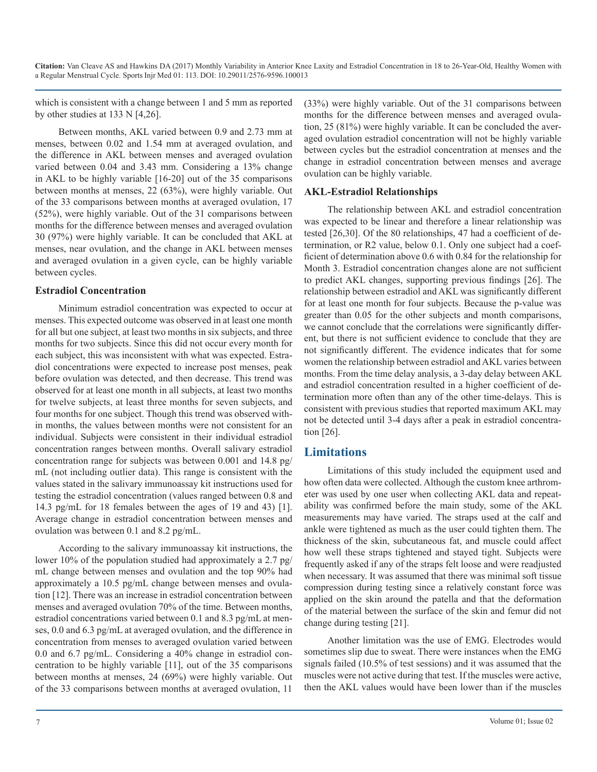which is consistent with a change between 1 and 5 mm as reported by other studies at 133 N [4,26].

Between months, AKL varied between 0.9 and 2.73 mm at menses, between 0.02 and 1.54 mm at averaged ovulation, and the difference in AKL between menses and averaged ovulation varied between 0.04 and 3.43 mm. Considering a 13% change in AKL to be highly variable [16-20] out of the 35 comparisons between months at menses, 22 (63%), were highly variable. Out of the 33 comparisons between months at averaged ovulation, 17 (52%), were highly variable. Out of the 31 comparisons between months for the difference between menses and averaged ovulation 30 (97%) were highly variable. It can be concluded that AKL at menses, near ovulation, and the change in AKL between menses and averaged ovulation in a given cycle, can be highly variable between cycles.

#### **Estradiol Concentration**

Minimum estradiol concentration was expected to occur at menses. This expected outcome was observed in at least one month for all but one subject, at least two months in six subjects, and three months for two subjects. Since this did not occur every month for each subject, this was inconsistent with what was expected. Estradiol concentrations were expected to increase post menses, peak before ovulation was detected, and then decrease. This trend was observed for at least one month in all subjects, at least two months for twelve subjects, at least three months for seven subjects, and four months for one subject. Though this trend was observed within months, the values between months were not consistent for an individual. Subjects were consistent in their individual estradiol concentration ranges between months. Overall salivary estradiol concentration range for subjects was between 0.001 and 14.8 pg/ mL (not including outlier data). This range is consistent with the values stated in the salivary immunoassay kit instructions used for testing the estradiol concentration (values ranged between 0.8 and 14.3 pg/mL for 18 females between the ages of 19 and 43) [1]. Average change in estradiol concentration between menses and ovulation was between 0.1 and 8.2 pg/mL.

According to the salivary immunoassay kit instructions, the lower 10% of the population studied had approximately a 2.7 pg/ mL change between menses and ovulation and the top 90% had approximately a 10.5 pg/mL change between menses and ovulation [12]. There was an increase in estradiol concentration between menses and averaged ovulation 70% of the time. Between months, estradiol concentrations varied between 0.1 and 8.3 pg/mL at menses, 0.0 and 6.3 pg/mL at averaged ovulation, and the difference in concentration from menses to averaged ovulation varied between 0.0 and 6.7 pg/mL. Considering a 40% change in estradiol concentration to be highly variable [11], out of the 35 comparisons between months at menses, 24 (69%) were highly variable. Out of the 33 comparisons between months at averaged ovulation, 11

(33%) were highly variable. Out of the 31 comparisons between months for the difference between menses and averaged ovulation, 25 (81%) were highly variable. It can be concluded the averaged ovulation estradiol concentration will not be highly variable between cycles but the estradiol concentration at menses and the change in estradiol concentration between menses and average ovulation can be highly variable.

#### **AKL-Estradiol Relationships**

The relationship between AKL and estradiol concentration was expected to be linear and therefore a linear relationship was tested [26,30]. Of the 80 relationships, 47 had a coefficient of determination, or R2 value, below 0.1. Only one subject had a coefficient of determination above 0.6 with 0.84 for the relationship for Month 3. Estradiol concentration changes alone are not sufficient to predict AKL changes, supporting previous findings [26]. The relationship between estradiol and AKL was significantly different for at least one month for four subjects. Because the p-value was greater than 0.05 for the other subjects and month comparisons, we cannot conclude that the correlations were significantly different, but there is not sufficient evidence to conclude that they are not significantly different. The evidence indicates that for some women the relationship between estradiol and AKL varies between months. From the time delay analysis, a 3-day delay between AKL and estradiol concentration resulted in a higher coefficient of determination more often than any of the other time-delays. This is consistent with previous studies that reported maximum AKL may not be detected until 3-4 days after a peak in estradiol concentration [26].

#### **Limitations**

Limitations of this study included the equipment used and how often data were collected. Although the custom knee arthrometer was used by one user when collecting AKL data and repeatability was confirmed before the main study, some of the AKL measurements may have varied. The straps used at the calf and ankle were tightened as much as the user could tighten them. The thickness of the skin, subcutaneous fat, and muscle could affect how well these straps tightened and stayed tight. Subjects were frequently asked if any of the straps felt loose and were readjusted when necessary. It was assumed that there was minimal soft tissue compression during testing since a relatively constant force was applied on the skin around the patella and that the deformation of the material between the surface of the skin and femur did not change during testing [21].

Another limitation was the use of EMG. Electrodes would sometimes slip due to sweat. There were instances when the EMG signals failed (10.5% of test sessions) and it was assumed that the muscles were not active during that test. If the muscles were active, then the AKL values would have been lower than if the muscles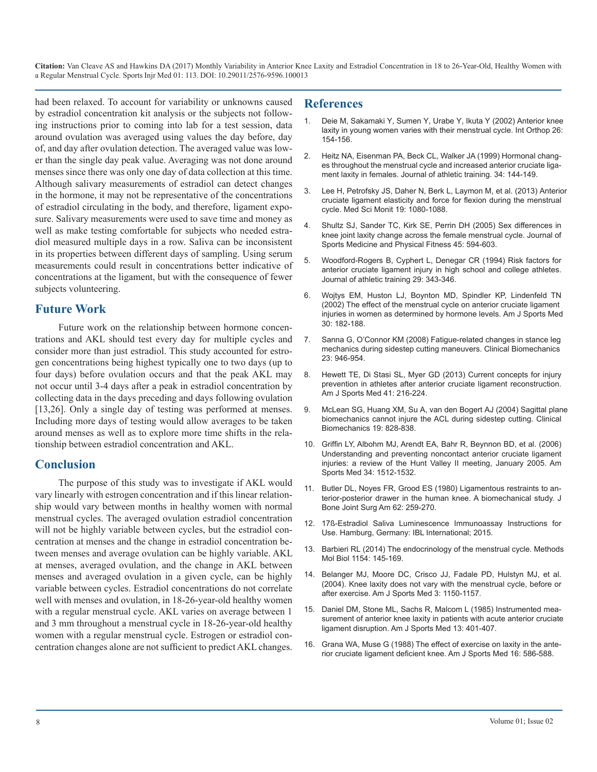had been relaxed. To account for variability or unknowns caused by estradiol concentration kit analysis or the subjects not following instructions prior to coming into lab for a test session, data around ovulation was averaged using values the day before, day of, and day after ovulation detection. The averaged value was lower than the single day peak value. Averaging was not done around menses since there was only one day of data collection at this time. Although salivary measurements of estradiol can detect changes in the hormone, it may not be representative of the concentrations of estradiol circulating in the body, and therefore, ligament exposure. Salivary measurements were used to save time and money as well as make testing comfortable for subjects who needed estradiol measured multiple days in a row. Saliva can be inconsistent in its properties between different days of sampling. Using serum measurements could result in concentrations better indicative of concentrations at the ligament, but with the consequence of fewer subjects volunteering.

#### **Future Work**

Future work on the relationship between hormone concentrations and AKL should test every day for multiple cycles and consider more than just estradiol. This study accounted for estrogen concentrations being highest typically one to two days (up to four days) before ovulation occurs and that the peak AKL may not occur until 3-4 days after a peak in estradiol concentration by collecting data in the days preceding and days following ovulation [13,26]. Only a single day of testing was performed at menses. Including more days of testing would allow averages to be taken around menses as well as to explore more time shifts in the relationship between estradiol concentration and AKL.

#### **Conclusion**

The purpose of this study was to investigate if AKL would vary linearly with estrogen concentration and if this linear relationship would vary between months in healthy women with normal menstrual cycles. The averaged ovulation estradiol concentration will not be highly variable between cycles, but the estradiol concentration at menses and the change in estradiol concentration between menses and average ovulation can be highly variable. AKL at menses, averaged ovulation, and the change in AKL between menses and averaged ovulation in a given cycle, can be highly variable between cycles. Estradiol concentrations do not correlate well with menses and ovulation, in 18-26-year-old healthy women with a regular menstrual cycle. AKL varies on average between 1 and 3 mm throughout a menstrual cycle in 18-26-year-old healthy women with a regular menstrual cycle. Estrogen or estradiol concentration changes alone are not sufficient to predict AKL changes.

#### **References**

- 1. [Deie M, Sakamaki Y, Sumen Y, Urabe Y, Ikuta Y \(2002\) Anterior knee](D:\PDF\JSIMD\JSIMD-113\knee laxity in young women varies with their menstrual cycle. Int Orthop) laxity in young women varies with their menstrual cycle. Int Orthop 26[:](D:\PDF\JSIMD\JSIMD-113\knee laxity in young women varies with their menstrual cycle. Int Orthop)  [154-156.](D:\PDF\JSIMD\JSIMD-113\knee laxity in young women varies with their menstrual cycle. Int Orthop)
- 2. [Heitz NA, Eisenman PA, Beck CL, Walker JA \(1999\) Hormonal chang](https://www.ncbi.nlm.nih.gov/pmc/articles/PMC1322903/)es throughout the menstrual cycle and increased anterior cruciate liga[ment laxity in females. Journal of athletic training. 34: 144-149.](https://www.ncbi.nlm.nih.gov/pmc/articles/PMC1322903/)
- 3. [Lee H, Petrofsky JS, Daher N, Berk L, Laymon M, et al. \(2013\) Anterio](https://www.ncbi.nlm.nih.gov/pubmed/24287619)r cruciate ligament elasticity and force for flexion during the menstrual [cycle. Med Sci Monit 19: 1080-1088.](https://www.ncbi.nlm.nih.gov/pubmed/24287619)
- 4. [Shultz SJ, Sander TC, Kirk SE, Perrin DH \(2005\) Sex differences in](https://www.ncbi.nlm.nih.gov/pmc/articles/PMC1890029/)  knee joint laxity change across the female menstrual cycle. Journal of [Sports Medicine and Physical Fitness 45: 594-603.](https://www.ncbi.nlm.nih.gov/pmc/articles/PMC1890029/)
- 5. [Woodford-Rogers B, Cyphert L, Denegar CR \(1994\) Risk factors for](https://www.ncbi.nlm.nih.gov/pmc/articles/PMC1317810/)  anterior cruciate ligament injury in high school and college athletes[.](https://www.ncbi.nlm.nih.gov/pmc/articles/PMC1317810/)  [Journal of athletic training 29: 343-346.](https://www.ncbi.nlm.nih.gov/pmc/articles/PMC1317810/)
- 6. [Wojtys EM, Huston LJ, Boynton MD, Spindler KP, Lindenfeld TN](https://www.ncbi.nlm.nih.gov/pubmed/11912085) (2002) The effect of the menstrual cycle on anterior cruciate ligament [injuries in women as determined by hormone levels. Am J Sports Med](https://www.ncbi.nlm.nih.gov/pubmed/11912085)  [30: 182-188.](https://www.ncbi.nlm.nih.gov/pubmed/11912085)
- 7. [Sanna G, O'Connor KM \(2008\) Fatigue-related changes in stance leg](https://www.ncbi.nlm.nih.gov/pubmed/18468745)  mechanics during sidestep cutting maneuvers. Clinical Biomechanics [23: 946-954.](https://www.ncbi.nlm.nih.gov/pubmed/18468745)
- 8. [Hewett TE, Di Stasi SL, Myer GD \(2013\) Current concepts for injury](https://www.ncbi.nlm.nih.gov/pubmed/23041233)  prevention in athletes after anterior cruciate ligament reconstruction. [Am J Sports Med 41: 216-224.](https://www.ncbi.nlm.nih.gov/pubmed/23041233)
- 9. [McLean SG, Huang XM, Su A, van den Bogert AJ \(2004\) Sagittal plan](https://www.ncbi.nlm.nih.gov/pubmed/15342155)e biomechanics cannot injure the ACL during sidestep cutting. Clinical [Biomechanics 19: 828-838.](https://www.ncbi.nlm.nih.gov/pubmed/15342155)
- 10. [Griffin LY, Albohm MJ, Arendt EA, Bahr R, Beynnon BD, et al. \(2006\)](https://www.ncbi.nlm.nih.gov/pubmed/16905673) Understanding and preventing noncontact anterior cruciate ligament [injuries: a review of the Hunt Valley II meeting, January 2005. Am](https://www.ncbi.nlm.nih.gov/pubmed/16905673)  [Sports Med 34: 1512-1532.](https://www.ncbi.nlm.nih.gov/pubmed/16905673)
- 11. [Butler DL, Noyes FR, Grood ES \(1980\) Ligamentous restraints to an](https://www.ncbi.nlm.nih.gov/pubmed/7358757)terior-posterior drawer in the human knee. A biomechanical study. J [Bone Joint Surg Am 62: 259-270.](https://www.ncbi.nlm.nih.gov/pubmed/7358757)
- 12. [17ß-Estradiol Saliva Luminescence Immunoassay Instructions for](https://www.ibl-international.com/media/catalog/product/R/E/RE62119_IFU_en_Cortisol_Saliva_LUM_2015-01_sym3_1.pdf)  Use. Hamburg, Germany: IBL International; 2015.
- 13. [Barbieri RL \(2014\) The endocrinology of the menstrual cycle. Methods](https://www.ncbi.nlm.nih.gov/pubmed/24782009)  Mol Biol 1154: 145-169.
- 14. [Belanger MJ, Moore DC, Crisco JJ, Fadale PD, Hulstyn MJ, et al.](https://www.ncbi.nlm.nih.gov/pubmed/15262636) (2004). Knee laxity does not vary with the menstrual cycle, before or [after exercise. Am J Sports Med 3: 1150-1157.](https://www.ncbi.nlm.nih.gov/pubmed/15262636)
- 15. [Daniel DM, Stone ML, Sachs R, Malcom L \(1985\) Instrumented mea](http://doi.org/10.29011/ JSIMD-113. 100013)surement of anterior knee laxity in patients with acute anterior cruciat[e](http://doi.org/10.29011/ JSIMD-113. 100013)  [ligament disruption. Am J Sports Med 13: 401-407.](http://doi.org/10.29011/ JSIMD-113. 100013)
- 16. [Grana WA, Muse G \(1988\) The effect of exercise on laxity in the ante](https://www.ncbi.nlm.nih.gov/pubmed/3239615)rior cruciate ligament deficient knee. Am J Sports Med 16: 586-588[.](https://www.ncbi.nlm.nih.gov/pubmed/3239615)